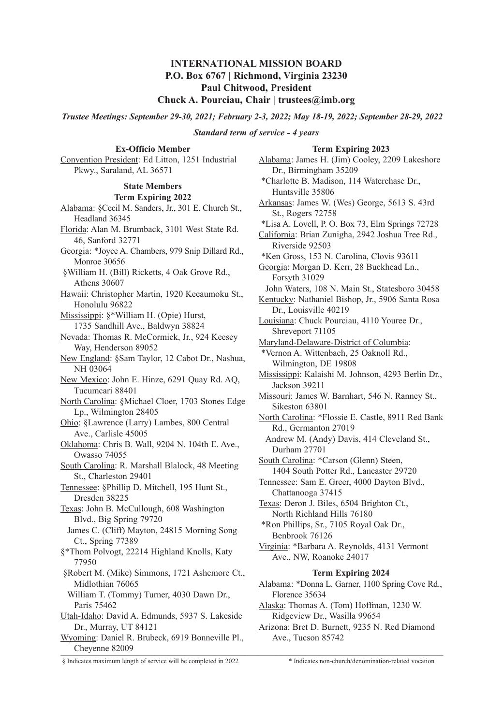# **INTERNATIONAL MISSION BOARD P.O. Box 6767 | Richmond, Virginia 23230 Paul Chitwood, President**

## **Chuck A. Pourciau, Chair | trustees@imb.org**

*Trustee Meetings: September 29-30, 2021; February 2-3, 2022; May 18-19, 2022; September 28-29, 2022*

### *Standard term of service - 4 years*

### **Term Expiring 2023**

**Ex-Officio Member** Convention President: Ed Litton, 1251 Industrial Pkwy., Saraland, AL 36571

# **State Members**

#### **Term Expiring 2022**

Alabama: §Cecil M. Sanders, Jr., 301 E. Church St., Headland 36345 Florida: Alan M. Brumback, 3101 West State Rd. 46, Sanford 32771 Georgia: \*Joyce A. Chambers, 979 Snip Dillard Rd., Monroe 30656 §William H. (Bill) Ricketts, 4 Oak Grove Rd., Athens 30607 Hawaii: Christopher Martin, 1920 Keeaumoku St., Honolulu 96822 Mississippi: §\*William H. (Opie) Hurst, 1735 Sandhill Ave., Baldwyn 38824 Nevada: Thomas R. McCormick, Jr., 924 Keesey Way, Henderson 89052 New England: §Sam Taylor, 12 Cabot Dr., Nashua, NH 03064 New Mexico: John E. Hinze, 6291 Quay Rd. AQ, Tucumcari 88401 North Carolina: §Michael Cloer, 1703 Stones Edge Lp., Wilmington 28405 Ohio: §Lawrence (Larry) Lambes, 800 Central Ave., Carlisle 45005 Oklahoma: Chris B. Wall, 9204 N. 104th E. Ave., Owasso 74055 South Carolina: R. Marshall Blalock, 48 Meeting St., Charleston 29401 Tennessee: §Phillip D. Mitchell, 195 Hunt St., Dresden 38225 Texas: John B. McCullough, 608 Washington Blvd., Big Spring 79720 James C. (Cliff) Mayton, 24815 Morning Song Ct., Spring 77389 §\*Thom Polvogt, 22214 Highland Knolls, Katy 77950 §Robert M. (Mike) Simmons, 1721 Ashemore Ct., Midlothian 76065 William T. (Tommy) Turner, 4030 Dawn Dr., Paris 75462 Utah-Idaho: David A. Edmunds, 5937 S. Lakeside Dr., Murray, UT 84121 Wyoming: Daniel R. Brubeck, 6919 Bonneville Pl., Cheyenne 82009  $\text{Creysim}$ 

Alabama: James H. (Jim) Cooley, 2209 Lakeshore Dr., Birmingham 35209 \*Charlotte B. Madison, 114 Waterchase Dr., Huntsville 35806 Arkansas: James W. (Wes) George, 5613 S. 43rd St., Rogers 72758 \*Lisa A. Lovell, P. O. Box 73, Elm Springs 72728 California: Brian Zunigha, 2942 Joshua Tree Rd., Riverside 92503 \*Ken Gross, 153 N. Carolina, Clovis 93611 Georgia: Morgan D. Kerr, 28 Buckhead Ln., Forsyth 31029 John Waters, 108 N. Main St., Statesboro 30458 Kentucky: Nathaniel Bishop, Jr., 5906 Santa Rosa Dr., Louisville 40219 Louisiana: Chuck Pourciau, 4110 Youree Dr., Shreveport 71105 Maryland-Delaware-District of Columbia: \*Vernon A. Wittenbach, 25 Oaknoll Rd., Wilmington, DE 19808 Mississippi: Kalaishi M. Johnson, 4293 Berlin Dr., Jackson 39211 Missouri: James W. Barnhart, 546 N. Ranney St., Sikeston 63801 North Carolina: \*Flossie E. Castle, 8911 Red Bank Rd., Germanton 27019 Andrew M. (Andy) Davis, 414 Cleveland St., Durham 27701 South Carolina: \*Carson (Glenn) Steen, 1404 South Potter Rd., Lancaster 29720 Tennessee: Sam E. Greer, 4000 Dayton Blvd., Chattanooga 37415 Texas: Deron J. Biles, 6504 Brighton Ct., North Richland Hills 76180 \*Ron Phillips, Sr., 7105 Royal Oak Dr., Benbrook 76126 Virginia: \*Barbara A. Reynolds, 4131 Vermont Ave., NW, Roanoke 24017 **Term Expiring 2024** Alabama: \*Donna L. Garner, 1100 Spring Cove Rd., Florence 35634 Alaska: Thomas A. (Tom) Hoffman, 1230 W. Ridgeview Dr., Wasilla 99654

Arizona: Bret D. Burnett, 9235 N. Red Diamond Ave., Tucson 85742

<sup>§</sup> Indicates maximum length of service will be completed in 2022 \* Indicates non-church/denomination-related vocation